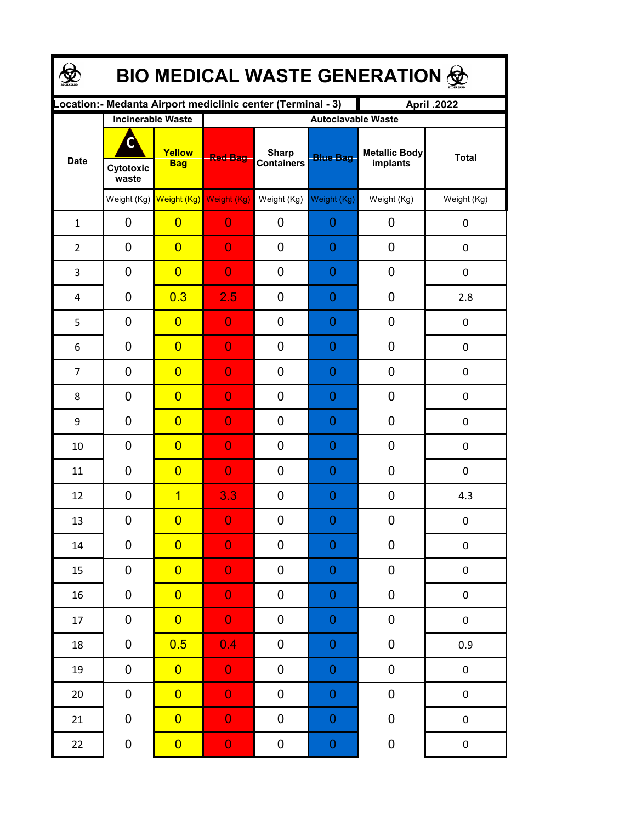| <b>BIO MEDICAL WASTE GENERATION 金</b> |                         |                                                  |                |                                                              |                                              |                                  |                  |  |  |  |  |
|---------------------------------------|-------------------------|--------------------------------------------------|----------------|--------------------------------------------------------------|----------------------------------------------|----------------------------------|------------------|--|--|--|--|
|                                       |                         |                                                  |                | Location: - Medanta Airport mediclinic center (Terminal - 3) |                                              | April .2022                      |                  |  |  |  |  |
| <b>Date</b>                           | C<br>Cytotoxic<br>waste | <b>Incinerable Waste</b><br>Yellow<br><b>Bag</b> | <b>Red Bag</b> | <b>Sharp</b><br><b>Containers</b>                            | <b>Autoclavable Waste</b><br><b>Blue Bag</b> | <b>Metallic Body</b><br>implants | <b>Total</b>     |  |  |  |  |
|                                       |                         | Weight (Kg) Weight (Kg) Weight (Kg)              |                | Weight (Kg)                                                  | Weight (Kg)                                  | Weight (Kg)                      | Weight (Kg)      |  |  |  |  |
| $\mathbf{1}$                          | 0                       | $\overline{0}$                                   | $\overline{0}$ | 0                                                            | 0                                            | 0                                | $\pmb{0}$        |  |  |  |  |
| $\overline{2}$                        | 0                       | $\overline{0}$                                   | $\overline{0}$ | 0                                                            | 0                                            | 0                                | $\mathbf 0$      |  |  |  |  |
| 3                                     | 0                       | $\overline{0}$                                   | $\overline{0}$ | 0                                                            | 0                                            | 0                                | $\mathbf 0$      |  |  |  |  |
| 4                                     | $\mathbf 0$             | 0.3                                              | 2.5            | 0                                                            | 0                                            | 0                                | 2.8              |  |  |  |  |
| 5                                     | $\mathbf 0$             | $\overline{0}$                                   | $\overline{0}$ | 0                                                            | 0                                            | 0                                | 0                |  |  |  |  |
| 6                                     | 0                       | $\overline{0}$                                   | $\overline{0}$ | 0                                                            | 0                                            | 0                                | 0                |  |  |  |  |
| $\overline{7}$                        | $\mathbf 0$             | $\overline{0}$                                   | $\overline{0}$ | 0                                                            | 0                                            | 0                                | 0                |  |  |  |  |
| 8                                     | $\mathbf 0$             | $\overline{0}$                                   | $\overline{0}$ | 0                                                            | 0                                            | 0                                | $\boldsymbol{0}$ |  |  |  |  |
| 9                                     | $\mathbf 0$             | $\overline{0}$                                   | $\overline{0}$ | 0                                                            | 0                                            | 0                                | 0                |  |  |  |  |
| 10                                    | 0                       | $\overline{0}$                                   | $\overline{0}$ | 0                                                            | 0                                            | 0                                | 0                |  |  |  |  |
| 11                                    | 0                       | $\overline{0}$                                   | $\overline{0}$ | 0                                                            | 0                                            | 0                                | 0                |  |  |  |  |
| 12                                    | 0                       | $\overline{1}$                                   | 3.3            | 0                                                            | 0                                            | 0                                | 4.3              |  |  |  |  |
| 13                                    | 0                       | $\overline{0}$                                   | $\Omega$       | 0                                                            | $\Omega$                                     | $\boldsymbol{0}$                 | 0                |  |  |  |  |
| 14                                    | 0                       | $\overline{0}$                                   | $\overline{0}$ | 0                                                            | $\boldsymbol{0}$                             | 0                                | 0                |  |  |  |  |
| 15                                    | 0                       | $\overline{0}$                                   | $\overline{0}$ | 0                                                            | $\boldsymbol{0}$                             | 0                                | $\pmb{0}$        |  |  |  |  |
| 16                                    | 0                       | $\overline{0}$                                   | $\overline{0}$ | 0                                                            | $\mathbf 0$                                  | 0                                | $\pmb{0}$        |  |  |  |  |
| 17                                    | 0                       | $\overline{0}$                                   | $\overline{0}$ | 0                                                            | $\boldsymbol{0}$                             | $\pmb{0}$                        | $\pmb{0}$        |  |  |  |  |
| 18                                    | 0                       | 0.5                                              | 0.4            | 0                                                            | $\boldsymbol{0}$                             | $\pmb{0}$                        | 0.9              |  |  |  |  |
| 19                                    | 0                       | $\overline{0}$                                   | $\overline{0}$ | 0                                                            | $\mathbf 0$                                  | 0                                | $\pmb{0}$        |  |  |  |  |
| 20                                    | 0                       | $\overline{0}$                                   | $\overline{0}$ | 0                                                            | $\mathbf 0$                                  | 0                                | $\pmb{0}$        |  |  |  |  |
| 21                                    | 0                       | $\overline{0}$                                   | $\overline{0}$ | 0                                                            | $\mathbf 0$                                  | 0                                | $\pmb{0}$        |  |  |  |  |
| 22                                    | $\boldsymbol{0}$        | $\overline{0}$                                   | $\mathbf{0}$   | 0                                                            | $\boldsymbol{0}$                             | 0                                | $\pmb{0}$        |  |  |  |  |